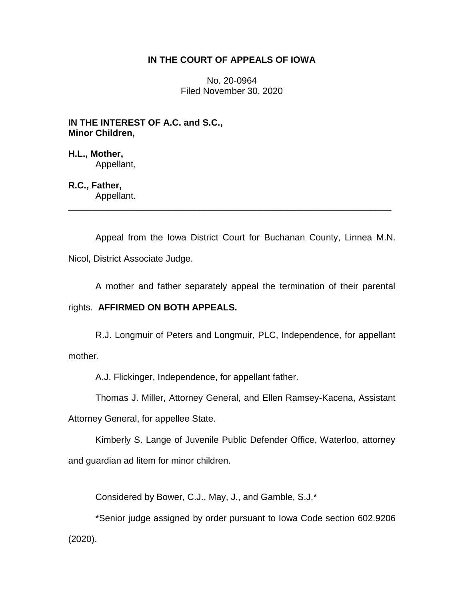## **IN THE COURT OF APPEALS OF IOWA**

No. 20-0964 Filed November 30, 2020

**IN THE INTEREST OF A.C. and S.C., Minor Children,**

**H.L., Mother,** Appellant,

### **R.C., Father,**

Appellant. \_\_\_\_\_\_\_\_\_\_\_\_\_\_\_\_\_\_\_\_\_\_\_\_\_\_\_\_\_\_\_\_\_\_\_\_\_\_\_\_\_\_\_\_\_\_\_\_\_\_\_\_\_\_\_\_\_\_\_\_\_\_\_\_

Appeal from the Iowa District Court for Buchanan County, Linnea M.N. Nicol, District Associate Judge.

A mother and father separately appeal the termination of their parental

### rights. **AFFIRMED ON BOTH APPEALS.**

R.J. Longmuir of Peters and Longmuir, PLC, Independence, for appellant mother.

A.J. Flickinger, Independence, for appellant father.

Thomas J. Miller, Attorney General, and Ellen Ramsey-Kacena, Assistant

Attorney General, for appellee State.

Kimberly S. Lange of Juvenile Public Defender Office, Waterloo, attorney and guardian ad litem for minor children.

Considered by Bower, C.J., May, J., and Gamble, S.J.\*

\*Senior judge assigned by order pursuant to Iowa Code section 602.9206 (2020).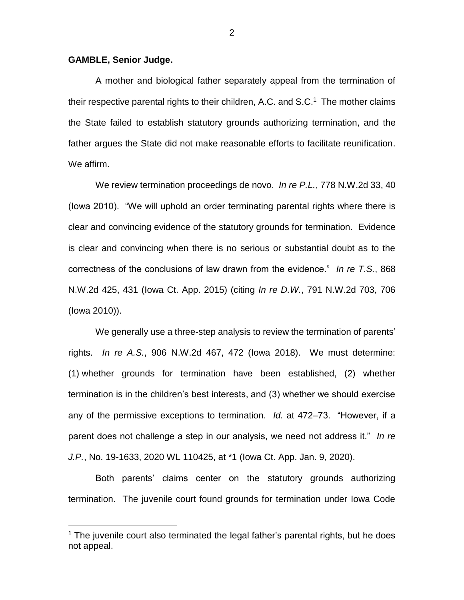#### **GAMBLE, Senior Judge.**

 $\overline{a}$ 

A mother and biological father separately appeal from the termination of their respective parental rights to their children, A.C. and S.C.<sup>1</sup> The mother claims the State failed to establish statutory grounds authorizing termination, and the father argues the State did not make reasonable efforts to facilitate reunification. We affirm.

We review termination proceedings de novo. *In re P.L.*, 778 N.W.2d 33, 40 (Iowa 2010). "We will uphold an order terminating parental rights where there is clear and convincing evidence of the statutory grounds for termination. Evidence is clear and convincing when there is no serious or substantial doubt as to the correctness of the conclusions of law drawn from the evidence." *In re T.S.*, 868 N.W.2d 425, 431 (Iowa Ct. App. 2015) (citing *In re D.W.*, 791 N.W.2d 703, 706 (Iowa 2010)).

We generally use a three-step analysis to review the termination of parents' rights. *In re A.S.*, 906 N.W.2d 467, 472 (Iowa 2018). We must determine: (1) whether grounds for termination have been established, (2) whether termination is in the children's best interests, and (3) whether we should exercise any of the permissive exceptions to termination. *Id.* at 472–73. "However, if a parent does not challenge a step in our analysis, we need not address it." *In re J.P.*, No. 19-1633, 2020 WL 110425, at \*1 (Iowa Ct. App. Jan. 9, 2020).

Both parents' claims center on the statutory grounds authorizing termination. The juvenile court found grounds for termination under Iowa Code

 $<sup>1</sup>$  The juvenile court also terminated the legal father's parental rights, but he does</sup> not appeal.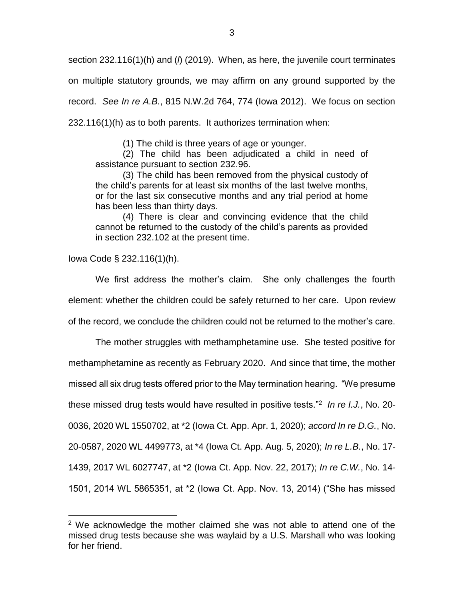section 232.116(1)(h) and (*l*) (2019). When, as here, the juvenile court terminates on multiple statutory grounds, we may affirm on any ground supported by the record. *See In re A.B.*, 815 N.W.2d 764, 774 (Iowa 2012). We focus on section 232.116(1)(h) as to both parents. It authorizes termination when:

(1) The child is three years of age or younger.

(2) The child has been adjudicated a child in need of assistance pursuant to section 232.96.

(3) The child has been removed from the physical custody of the child's parents for at least six months of the last twelve months, or for the last six consecutive months and any trial period at home has been less than thirty days.

(4) There is clear and convincing evidence that the child cannot be returned to the custody of the child's parents as provided in section 232.102 at the present time.

Iowa Code § 232.116(1)(h).

 $\overline{a}$ 

We first address the mother's claim. She only challenges the fourth element: whether the children could be safely returned to her care. Upon review of the record, we conclude the children could not be returned to the mother's care.

The mother struggles with methamphetamine use. She tested positive for methamphetamine as recently as February 2020. And since that time, the mother missed all six drug tests offered prior to the May termination hearing. "We presume these missed drug tests would have resulted in positive tests."<sup>2</sup> *In re I.J.*, No. 20- 0036, 2020 WL 1550702, at \*2 (Iowa Ct. App. Apr. 1, 2020); *accord In re D.G.*, No. 20-0587, 2020 WL 4499773, at \*4 (Iowa Ct. App. Aug. 5, 2020); *In re L.B.*, No. 17- 1439, 2017 WL 6027747, at \*2 (Iowa Ct. App. Nov. 22, 2017); *In re C.W.*, No. 14- 1501, 2014 WL 5865351, at \*2 (Iowa Ct. App. Nov. 13, 2014) ("She has missed

 $2$  We acknowledge the mother claimed she was not able to attend one of the missed drug tests because she was waylaid by a U.S. Marshall who was looking for her friend.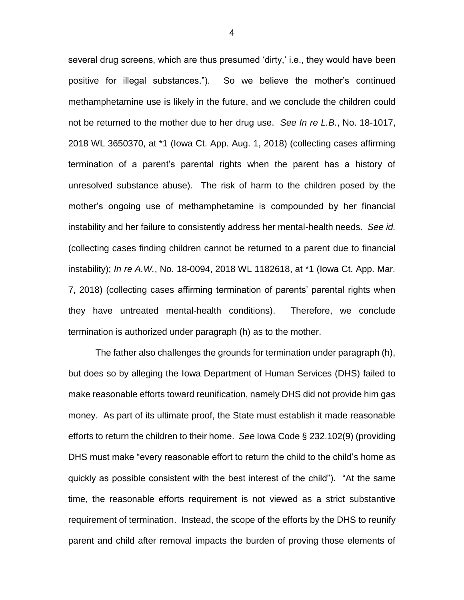several drug screens, which are thus presumed 'dirty,' i.e., they would have been positive for illegal substances."). So we believe the mother's continued methamphetamine use is likely in the future, and we conclude the children could not be returned to the mother due to her drug use. *See In re L.B.*, No. 18-1017, 2018 WL 3650370, at \*1 (Iowa Ct. App. Aug. 1, 2018) (collecting cases affirming termination of a parent's parental rights when the parent has a history of unresolved substance abuse). The risk of harm to the children posed by the mother's ongoing use of methamphetamine is compounded by her financial instability and her failure to consistently address her mental-health needs. *See id.* (collecting cases finding children cannot be returned to a parent due to financial instability); *In re A.W.*, No. 18-0094, 2018 WL 1182618, at \*1 (Iowa Ct. App. Mar. 7, 2018) (collecting cases affirming termination of parents' parental rights when they have untreated mental-health conditions). Therefore, we conclude termination is authorized under paragraph (h) as to the mother.

The father also challenges the grounds for termination under paragraph (h), but does so by alleging the Iowa Department of Human Services (DHS) failed to make reasonable efforts toward reunification, namely DHS did not provide him gas money. As part of its ultimate proof, the State must establish it made reasonable efforts to return the children to their home. *See* Iowa Code § 232.102(9) (providing DHS must make "every reasonable effort to return the child to the child's home as quickly as possible consistent with the best interest of the child"). "At the same time, the reasonable efforts requirement is not viewed as a strict substantive requirement of termination. Instead, the scope of the efforts by the DHS to reunify parent and child after removal impacts the burden of proving those elements of

4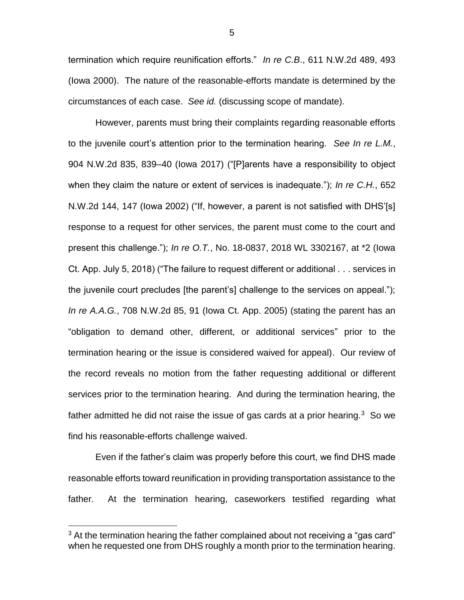termination which require reunification efforts." *In re C.B*., 611 N.W.2d 489, 493 (Iowa 2000). The nature of the reasonable-efforts mandate is determined by the circumstances of each case. *See id.* (discussing scope of mandate).

However, parents must bring their complaints regarding reasonable efforts to the juvenile court's attention prior to the termination hearing. *See In re L.M.*, 904 N.W.2d 835, 839–40 (Iowa 2017) ("[P]arents have a responsibility to object when they claim the nature or extent of services is inadequate."); *In re C.H.*, 652 N.W.2d 144, 147 (Iowa 2002) ("If, however, a parent is not satisfied with DHS'[s] response to a request for other services, the parent must come to the court and present this challenge."); *In re O.T.*, No. 18-0837, 2018 WL 3302167, at \*2 (Iowa Ct. App. July 5, 2018) ("The failure to request different or additional . . . services in the juvenile court precludes [the parent's] challenge to the services on appeal."); *In re A.A.G.*, 708 N.W.2d 85, 91 (Iowa Ct. App. 2005) (stating the parent has an "obligation to demand other, different, or additional services" prior to the termination hearing or the issue is considered waived for appeal). Our review of the record reveals no motion from the father requesting additional or different services prior to the termination hearing. And during the termination hearing, the father admitted he did not raise the issue of gas cards at a prior hearing. $3$  So we find his reasonable-efforts challenge waived.

Even if the father's claim was properly before this court, we find DHS made reasonable efforts toward reunification in providing transportation assistance to the father. At the termination hearing, caseworkers testified regarding what

 $\overline{a}$ 

5

 $3$  At the termination hearing the father complained about not receiving a "gas card" when he requested one from DHS roughly a month prior to the termination hearing.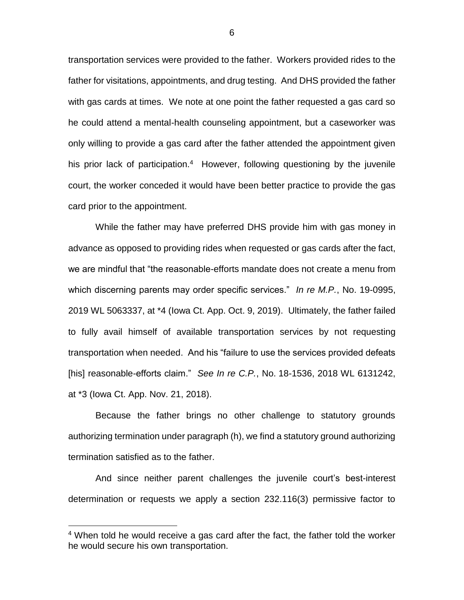transportation services were provided to the father. Workers provided rides to the father for visitations, appointments, and drug testing. And DHS provided the father with gas cards at times. We note at one point the father requested a gas card so he could attend a mental-health counseling appointment, but a caseworker was only willing to provide a gas card after the father attended the appointment given his prior lack of participation.<sup>4</sup> However, following questioning by the juvenile court, the worker conceded it would have been better practice to provide the gas card prior to the appointment.

While the father may have preferred DHS provide him with gas money in advance as opposed to providing rides when requested or gas cards after the fact, we are mindful that "the reasonable-efforts mandate does not create a menu from which discerning parents may order specific services." *In re M.P.*, No. 19-0995, 2019 WL 5063337, at \*4 (Iowa Ct. App. Oct. 9, 2019). Ultimately, the father failed to fully avail himself of available transportation services by not requesting transportation when needed. And his "failure to use the services provided defeats [his] reasonable-efforts claim." *See In re C.P.*, No. 18-1536, 2018 WL 6131242, at \*3 (Iowa Ct. App. Nov. 21, 2018).

Because the father brings no other challenge to statutory grounds authorizing termination under paragraph (h), we find a statutory ground authorizing termination satisfied as to the father.

And since neither parent challenges the juvenile court's best-interest determination or requests we apply a section 232.116(3) permissive factor to

 $\overline{a}$ 

<sup>&</sup>lt;sup>4</sup> When told he would receive a gas card after the fact, the father told the worker he would secure his own transportation.